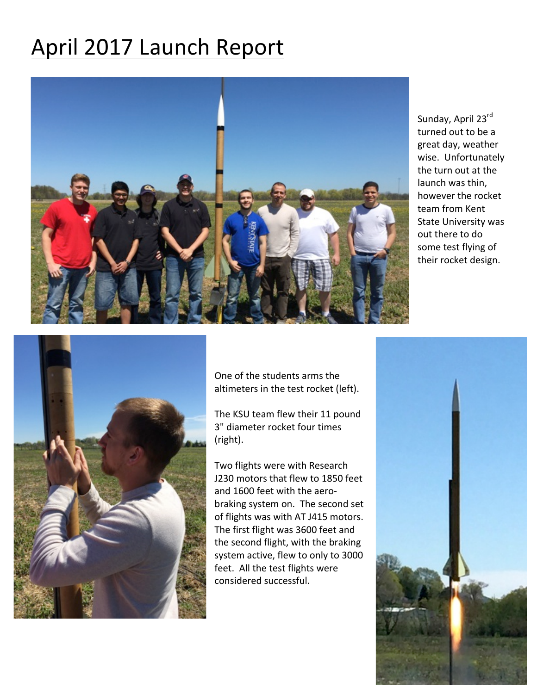## April 2017 Launch Report



Sunday, April 23rd turned out to be a great day, weather wise. Unfortunately the turn out at the launch was thin, however the rocket team from Kent State University was out there to do some test flying of their rocket design.



One of the students arms the altimeters in the test rocket (left).

The KSU team flew their 11 pound 3" diameter rocket four times (right). 

Two flights were with Research J230 motors that flew to 1850 feet and 1600 feet with the aerobraking system on. The second set of flights was with AT J415 motors. The first flight was 3600 feet and the second flight, with the braking system active, flew to only to 3000 feet. All the test flights were considered successful.

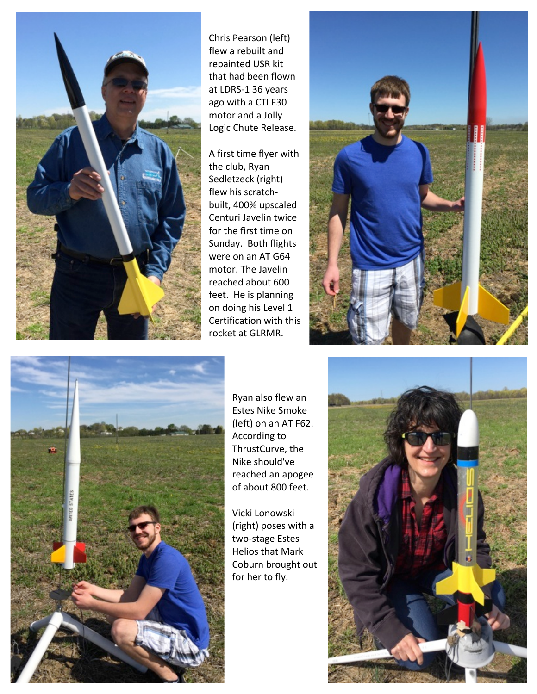

Chris Pearson (left) flew a rebuilt and repainted USR kit that had been flown at LDRS-1 36 years ago with a CTI F30 motor and a Jolly Logic Chute Release.

A first time flyer with the club, Ryan Sedletzeck (right) flew his scratchbuilt, 400% upscaled Centuri Javelin twice for the first time on Sunday. Both flights were on an AT G64 motor. The Javelin reached about 600 feet. He is planning on doing his Level 1 Certification with this rocket at GLRMR.





Ryan also flew an **Estes Nike Smoke** (left) on an AT F62. According to ThrustCurve, the Nike should've reached an apogee of about 800 feet.

Vicki Lonowski (right) poses with a two-stage Estes Helios that Mark Coburn brought out for her to fly.

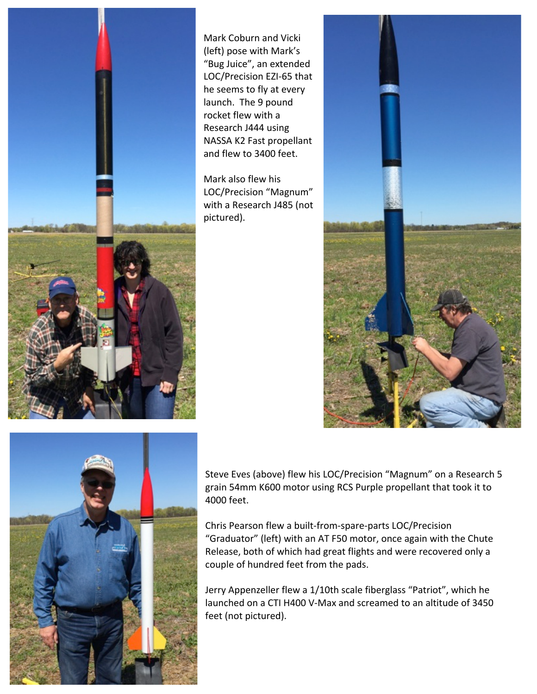

Mark Coburn and Vicki (left) pose with Mark's "Bug Juice", an extended LOC/Precision EZI-65 that he seems to fly at every launch. The 9 pound rocket flew with a Research J444 using NASSA K2 Fast propellant and flew to 3400 feet.

Mark also flew his LOC/Precision "Magnum" with a Research J485 (not pictured).





Steve Eves (above) flew his LOC/Precision "Magnum" on a Research 5 grain 54mm K600 motor using RCS Purple propellant that took it to 4000 feet. 

Chris Pearson flew a built-from-spare-parts LOC/Precision "Graduator" (left) with an AT F50 motor, once again with the Chute Release, both of which had great flights and were recovered only a couple of hundred feet from the pads.

Jerry Appenzeller flew a 1/10th scale fiberglass "Patriot", which he launched on a CTI H400 V-Max and screamed to an altitude of 3450 feet (not pictured).